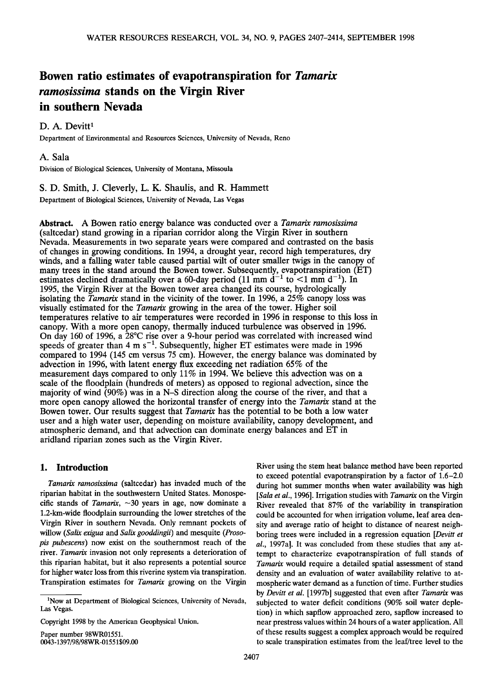# **Bowen ratio estimates of evapotranspiration for Tamarix ramosissima stands on the Virgin River in southern Nevada**

## D. A. Devitt<sup>1</sup>

**Department of Environmental and Resources Sciences, University of Nevada, Reno** 

### **A. Sala**

**Division of Biological Sciences, University of Montana, Missoula** 

## **S. D. Smith, J. Cleverly, L. K. Shaulis, and R. Hammett Department of Biological Sciences, University of Nevada, Las Vegas**

**Abstract. A Bowen ratio energy balance was conducted over a Tamarix ramosissima (saltcedar) stand growing in a riparian corridor along the Virgin River in southern Nevada. Measurements in two separate years were compared and contrasted on the basis of changes in growing conditions. In 1994, a drought year, record high temperatures, dry winds, and a falling water table caused partial wilt of outer smaller twigs in the canopy of many trees in the stand around the Bowen tower. Subsequently, evapotranspiration (ET)**  estimates declined dramatically over a 60-day period  $(11 \text{ mm d}^{-1}$  to <1 mm d<sup>-1</sup>). In **1995, the Virgin River at the Bowen tower area changed its course, hydrologically isolating the Tamarix stand in the vicinity of the tower. In 1996, a 25% canopy loss was visually estimated for the Tamarix growing in the area of the tower. Higher soil temperatures relative to air temperatures were recorded in 1996 in response to this loss in canopy. With a more open canopy, thermally induced turbulence was observed in 1996. On day 160 of 1996, a 28øC rise over a 9-hour period was correlated with increased wind**  speeds of greater than  $4 \text{ m s}^{-1}$ . Subsequently, higher ET estimates were made in 1996 **compared to 1994 (145 cm versus 75 cm). However, the energy balance was dominated by advection in 1996, with latent energy flux exceeding net radiation 65% of the measurement days compared to only 11% in 1994. We believe this advection was on a scale of the floodplain (hundreds of meters) as opposed to regional advection, since the majority of wind (90%) was in a N-S direction along the course of the river, and that a more open canopy allowed the horizontal transfer of energy into the Tamarix stand at the Bowen tower. Our results suggest that Tamarix has the potential to be both a low water user and a high water user, depending on moisture availability, canopy development, and atmospheric demand, and that advection can dominate energy balances and ET in aridland riparian zones such as the Virgin River.** 

## **1. Introduction**

**Tamarix ramosissima (saltcedar) has invaded much of the riparian habitat in the southwestern United States. Monospecific stands of Tamarix, -30 years in age, now dominate a 1.2-km-wide floodplain surrounding the lower stretches of the Virgin River in southern Nevada. Only remnant pockets of willow (Salix exigua and Salix gooddingii) and mesquite (Prosopis pubescens) now exist on the southernmost reach of the river. Tamarix invasion not only represents a deterioration of this riparian habitat, but it also represents a potential source for higher water loss from this riverine system via transpiration. Transpiration estimates for Tamarix growing on the Virgin** 

**Paper number 98WR01551. 0043-1397/98/98WR-01551 \$09.00**  **River using the stem heat balance method have been reported to exceed potential evapotranspiration by a factor of 1.6-2.0 during hot summer months when water availability was high [Sala et al., 1996]. Irrigation studies with Tamarix on the Virgin River revealed that 87% of the variability in transpiration could be accounted for when irrigation volume, leaf area density and average ratio of height to distance of nearest neighboring trees were included in a regression equation [Devitt et al., 1997a]. It was concluded from these studies that any attempt to characterize evapotranspiration of full stands of Tamarix would require a detailed spatial assessment of stand density and an evaluation of water availability relative to atmospheric water demand as a function of time. Further studies by Devitt et al. [1997b] suggested that even after Tamarix was subjected to water deficit conditions (90% soil water depletion) in which sapflow approached zero, sapflow increased to near prestress values within 24 hours of a water application. All of these results suggest a complex approach would be required to scale transpiration estimates from the leaf/tree level to the** 

**<sup>1</sup>Now at Department of Biological Sciences, University of Nevada, Las Vegas.** 

**Copyright 1998 by the American Geophysical Union.**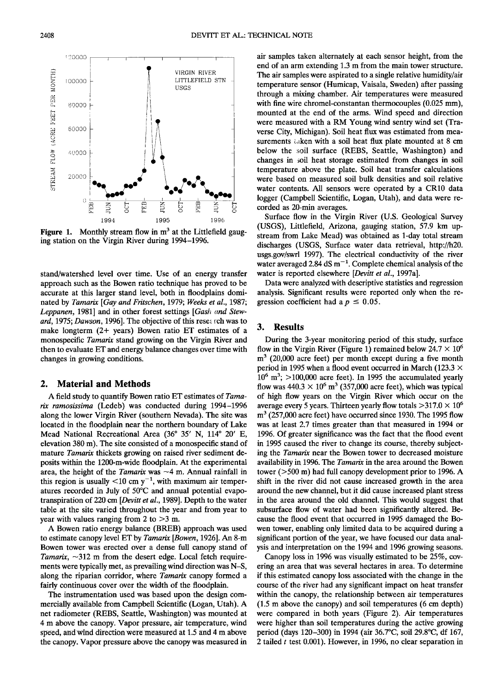**ing station on the Virgin River during 1994-1996.** 

**stand/watershed level over time. Use of an energy transfer approach such as the Bowen ratio technique has proved to be accurate at this larger stand level, both in floodplains dominated by Tamarix [Gay and Fritschen, 1979; Weeks et al., 1987;**  Leppanen, 1981] and in other forest settings [Gash and Steward, 1975; Dawson, 1996]. The objective of this research was to **make longterm (2+ years) Bowen ratio ET estimates of a monospecific Tamarix stand growing on the Virgin River and then to evaluate ET and energy balance changes over time with changes in growing conditions.** 

#### **2. Material and Methods**

**A field study to quantify Bowen ratio ET estimates of Tamarix ramosissima (Ledeb) was conducted during 1994-1996 along the lower Virgin River (southern Nevada). The site was located in the floodplain near the northern boundary of Lake**  Mead National Recreational Area (36° 35' N, 114° 20' E, **elevation 380 m). The site consisted of a monospecific stand of mature Tamarix thickets growing on raised river sediment deposits within the 1200-m-wide floodplain. At the experimental**  area, the height of the *Tamarix* was  $\sim$ 4 m. Annual rainfall in this region is usually  $\leq 10$  cm y<sup>-1</sup>, with maximum air temperatures recorded in July of 50°C and annual potential evapo**transpiration of 220 cm [Devitt et al., 1989]. Depth to the water table at the site varied throughout the year and from year to year with values ranging from 2 to >3 m.** 

**A Bowen ratio energy balance (BREB) approach was used to estimate canopy level ET by Tamarix [Bowen, 1926]. An 8-m Bowen tower was erected over a dense full canopy stand of**  Tamarix,  $\sim$ 312 m from the desert edge. Local fetch require**ments were typically met, as prevailing wind direction was N-S, along the riparian corridor, where Tamarix canopy formed a fairly continuous cover over the width of the floodplain.** 

**The instrumentation used was based upon the design commercially available from Campbell Scientific (Logan, Utah). A net radiometer (REBS, Seattle, Washington) was mounted at 4 m above the canopy. Vapor pressure, air temperature, wind speed, and wind direction were measured at 1.5 and 4 m above the canopy. Vapor pressure above the canopy was measured in** 

**air samples taken alternately at each sensor height, from the end of an arm extending 1.3 m from the main tower structure. The air samples were aspirated to a single relative humidity/air temperature sensor (Humicap, Vaisala, Sweden) after passing through a mixing chamber. Air temperatures were measured with fine wire chromel-constantan thermocouples (0.025 mm), mounted at the end of the arms. Wind speed and direction were measured with a RM Young wind sentry wind set (Traverse City, Michigan). Soil heat flux was estimated from measurements taken with a soil heat flux plate mounted at 8 cm below the soil surface (REBS, Seattle, Washington) and changes in soil heat storage estimated from changes in soil temperature above the plate. Soil heat transfer calculations were based on measured soil bulk densities and soil relative water contents. All sensors were operated by a CR10 data logger (Campbell Scientific, Logan, Utah), and data were recorded as 20-min averages.** 

**Surface flow in the Virgin River (U.S. Geological Survey (USGS), Littlefield, Arizona, gauging station, 57.9 km upstream from Lake Mead) was obtained as 1-day total stream discharges (USGS, Surface water data retrieval, http://h20. usgs.gov/swrl 1997). The electrical conductivity of the river**  water averaged 2.84  $dS m^{-1}$ . Complete chemical analysis of the **water is reported elsewhere [Devitt et al., 1997a].** 

**Data were analyzed with descriptive statistics and regression analysis. Significant results were reported only when the re**gression coefficient had a  $p \leq 0.05$ .

#### **3. Results**

**During the 3-year monitoring period of this study, surface**  flow in the Virgin River (Figure 1) remained below  $24.7 \times 10^6$ m<sup>3</sup> (20,000 acre feet) per month except during a five month **period in 1995 when a flood event occurred in March (123.3 x 106 m3; >100,000 acre feet). In 1995 the accumulated yearly**  flow was  $440.3 \times 10^6$  m<sup>3</sup> (357,000 acre feet), which was typical **of high flow years on the Virgin River which occur on the**  average every 5 years. Thirteen yearly flow totals  $>317.0 \times 10^6$ **m 3 (257,000 acre feet) have occurred since 1930. The 1995 flow was at least 2.7 times greater than that measured in 1994 or 1996. Of greater significance was the fact that the flood event in 1995 caused the river to change its course, thereby subjecting the Tamarix near the Bowen tower to decreased moisture availability in 1996. The Tamarix in the area around the Bowen tower (>500 m) had full canopy development prior to 1996. A shift in the river did not cause increased growth in the area around the new channel, but it did cause increased plant stress**  in the area around the old channel. This would suggest that **subsurface flow of water had been significantly altered. Because the flood event that occurred in 1995 damaged the Bowen tower, enabling only limited data to be acquired during a significant portion of the year, we have focused our data analysis and interpretation on the 1994 and 1996 growing seasons.** 

**Canopy loss in 1996 was visually estimated to be 25%, covering an area that was several hectares in area. To determine if this estimated canopy loss associated with the change in the course of the river had any significant impact on heat transfer within the canopy, the relationship between air temperatures (1.5 m above the canopy) and soil temperatures (6 cm depth) were compared in both years (Figure 2). Air temperatures were higher than soil temperatures during the active growing period (days 120-300) in 1994 (air 36.7øC, soil 29.8øC, df 167, 2 tailed ! test 0.001). However, in 1996, no clear separation in** 

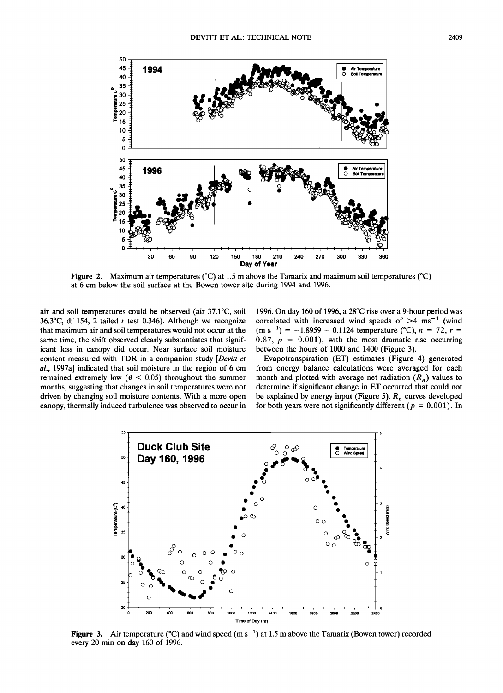

**Figure 2.** Maximum air temperatures ( $^{\circ}C$ ) at 1.5 m above the Tamarix and maximum soil temperatures ( $^{\circ}C$ ) **at 6 cm below the soil surface at the Bowen tower site during 1994 and 1996.** 

**air and soil temperatures could be observed (air 37.1øC, soil 36.3øC, df 154, 2 tailed t test 0.346). Although we recognize that maximum air and soil temperatures would not occur at the same time, the shift observed clearly substantiates that significant loss in canopy did occur. Near surface soil moisture content measured with TDR in a companion study [Devitt et al., 1997a] indicated that soil moisture in the region of 6 cm**  remained extremely low  $(\theta \le 0.05)$  throughout the summer **months, suggesting that changes in soil temperatures were not driven by changing soil moisture contents. With a more open canopy, thermally induced turbulence was observed to occur in**  **1996. On day 160 of 1996, a 28øC rise over a 9-hour period was**  correlated with increased wind speeds of  $>4 \text{ ms}^{-1}$  (wind  $(m s^{-1}) = -1.8959 + 0.1124$  temperature (°C),  $n = 72$ ,  $r =$  $0.87, p = 0.001$ , with the most dramatic rise occurring between the hours of 1000 and 1400 (Figure 3).

**Evapotranspiration (ET) estimates (Figure 4) generated from energy balance calculations were averaged for each**  month and plotted with average net radiation  $(R_n)$  values to **determine if significant change in ET occurred that could not**  be explained by energy input (Figure 5). R<sub>n</sub> curves developed for both years were not significantly different ( $p = 0.001$ ). In



**Figure 3.** Air temperature (°C) and wind speed (m s<sup>-1</sup>) at 1.5 m above the Tamarix (Bowen tower) recorded **every 20 min on day 160 of 1996.**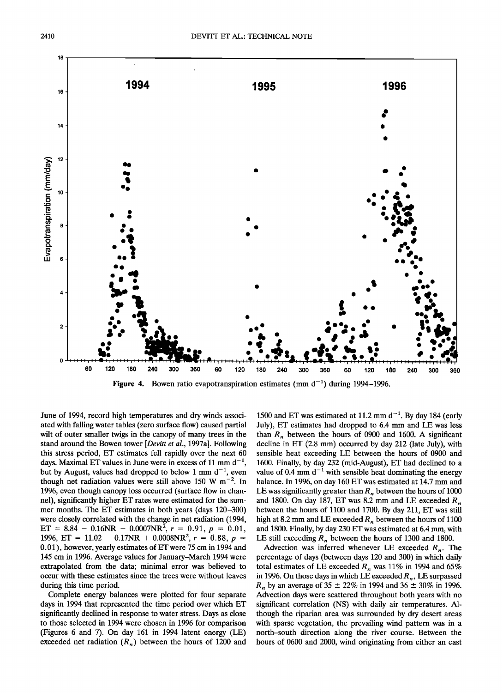

**Figure 4.** Bowen ratio evapotranspiration estimates (mm  $d^{-1}$ ) during 1994–1996.

**June of 1994, record high temperatures and dry winds associated with falling water tables (zero surface flow) caused partial wilt of outer smaller twigs in the canopy of many trees in the stand around the Bowen tower [Devitt et al., 1997a]. Following this stress period, ET estimates fell rapidly over the next 60**  days. Maximal ET values in June were in excess of 11 mm  $d^{-1}$ , but by August, values had dropped to below 1 mm  $d^{-1}$ , even though net radiation values were still above 150 W  $m^{-2}$ . In **1996, even though canopy loss occurred (surface flow in channel), significantly higher ET rates were estimated for the summer months. The ET estimates in both years (days 120-300) were closely correlated with the change in net radiation (1994,**   $ET = 8.84 - 0.16NR + 0.0007NR^2$ ,  $r = 0.91$ ,  $p = 0.01$ , 1996, ET =  $11.02 - 0.17NR + 0.0008NR^2$ ,  $r = 0.88$ ,  $p =$ **0.01), however, yearly estimates of ET were 75 cm in 1994 and 145 cm in 1996. Average values for January-March 1994 were extrapolated from the data; minimal error was believed to occur with these estimates since the trees were without leaves during this time period.** 

**Complete energy balances were plotted for four separate days in 1994 that represented the time period over which ET significantly declined in response to water stress. Days as close to those selected in 1994 were chosen in 1996 for comparison (Figures 6 and 7). On day 161 in 1994 latent energy (LE)**  exceeded net radiation  $(R_n)$  between the hours of 1200 and

1500 and ET was estimated at 11.2 mm d<sup>-1</sup>. By day 184 (early **July), ET estimates had dropped to 6.4 mm and LE was less**  than  $R_n$ , between the hours of 0900 and 1600. A significant **decline in ET (2.8 mm) occurred by day 212 (late July), with sensible heat exceeding LE between the hours of 0900 and 1600. Finally, by day 232 (mid-August), ET had declined to a**  value of 0.4 mm  $d^{-1}$  with sensible heat dominating the energy **balance. In 1996, on day 160 ET was estimated at 14.7 mm and**  LE was significantly greater than  $R<sub>n</sub>$  between the hours of 1000 and 1800. On day 187, ET was 8.2 mm and LE exceeded  $R<sub>n</sub>$ **between the hours of 1100 and 1700. By day 211, ET was still**  high at 8.2 mm and LE exceeded  $R<sub>n</sub>$  between the hours of 1100 **and 1800. Finally, by day 230 ET was estimated at 6.4 mm, with**  LE still exceeding  $R_n$  between the hours of 1300 and 1800.

Advection was inferred whenever LE exceeded  $R_n$ . The **percentage of days (between days 120 and 300) in which daily**  total estimates of LE exceeded  $R_n$  was 11% in 1994 and 65% in 1996. On those days in which LE exceeded  $R_n$ , LE surpassed  $R_n$  by an average of 35  $\pm$  22% in 1994 and 36  $\pm$  30% in 1996. **Advection days were scattered throughout both years with no significant correlation (NS) with daily air temperatures. Although the riparian area was surrounded by dry desert areas with sparse vegetation, the prevailing wind pattern was in a north-south direction along the river course. Between the hours of 0600 and 2000, wind originating from either an east**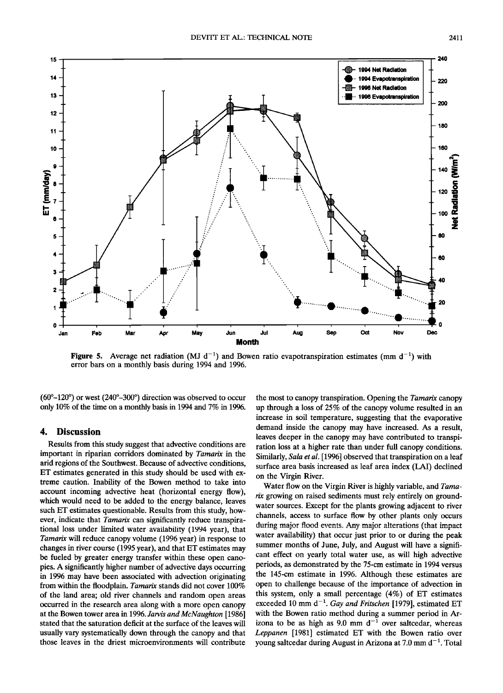

**Figure 5.** Average net radiation (MJ  $d^{-1}$ ) and Bowen ratio evapotranspiration estimates (mm  $d^{-1}$ ) with **error bars on a monthly basis during 1994 and 1996.** 

 $(60^{\circ}-120^{\circ})$  or west  $(240^{\circ}-300^{\circ})$  direction was observed to occur **only 10% of the time on a monthly basis in 1994 and 7% in 1996.** 

#### **4. Discussion**

**Results from this study suggest that advective conditions are important in riparian corridors dominated by Tamarix in the arid regions of the Southwest. Because of advective conditions, ET estimates generated in this study should be used with extreme caution. Inability of the Bowen method to take into account incoming advective heat (horizontal energy flow), which would need to be added to the energy balance, leaves such ET estimates questionable. Results from this study, however, indicate that Tamarix can significantly reduce transpirational loss under limited water availability (1994 year), that**  Tamarix will reduce canopy volume (1996 year) in response to **changes in river course (1995 year), and that ET estimates may be fueled by greater energy transfer within these open canopies. A significantly higher number of advective days occurring in 1996 may have been associated with advection originating from within the floodplain. Tamarix stands did not cover 100% of the land area; old river channels and random open areas occurred in the research area along with a more open canopy at the Bowen tower area in 1996. Jarvis and McNaughton [1986] stated that the saturation deficit at the surface of the leaves will usually vary systematically down through the canopy and that those leaves in the driest microenvironments will contribute** 

**the most to canopy transpiration. Opening the Tamarix canopy up through a loss of 25% of the canopy volume resulted in an increase in soil temperature, suggesting that the evaporative demand inside the canopy may have increased. As a result, leaves deeper in the canopy may have contributed to transpiration loss at a higher rate than under full canopy conditions. Similarly, Sala et al. [1996] observed that transpiration on a leaf surface area basis increased as leaf area index (LAI) declined on the Virgin River.** 

**Water flow on the Virgin River is highly variable, and Tama**rix growing on raised sediments must rely entirely on ground**water sources. Except for the plants growing adjacent to river channels, access •o surface flow by other plants only occurs**  during major flood events. Any major alterations (that impact **water availability) that occur just prior to or during the peak summer months of June, July, and August will have a significant effect on yearly total water use, as will high advective periods, as demonstrated by the 75-cm estimate in 1994 versus the 145-cm estimate in 1996. Although these estimates are open to challenge because of the importance of advection in this system, only a small percentage (4%) of ET estimates**  exceeded 10 mm  $d^{-1}$ . Gay and Fritschen [1979], estimated ET **with the Bowen ratio method during a summer period in Ar**izona to be as high as  $9.0 \text{ mm d}^{-1}$  over saltcedar, whereas **Leppanen [1981] estimated ET with the Bowen ratio over young saltcedar during August in Arizona at 7.0 mm d-1. Total**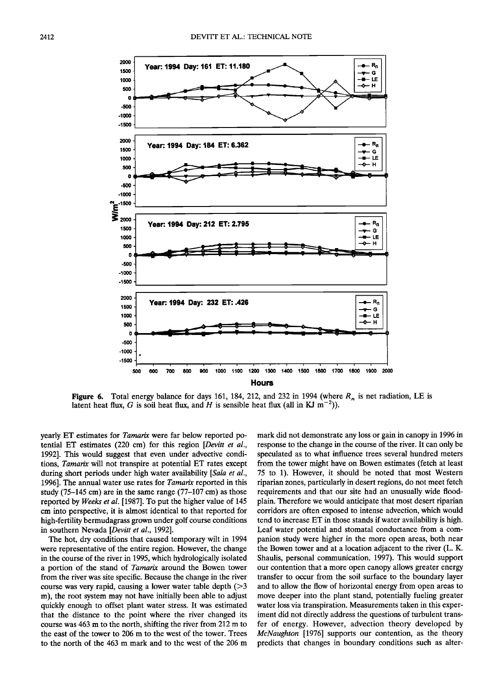

**Figure 6.** Total energy balance for days 161, 184, 212, and 232 in 1994 (where  $R_n$  is net radiation, LE is latent heat flux, G is soil heat flux, and H is sensible heat flux (all in KJ  $m^{-2}$ )).

**yearly ET estimates for Tamarix were far below reported potential ET estimates (220 cm) for this region [Devitt et al.,**  1992]. This would suggest that even under advective condi**tions, Tamarix will not transpire at potential ET rates except during short periods under high water availability [Sala et al., 1996]. The annual water use rates for Tamarix reported in this study (75-145 cm) are in the same range (77-107 cm) as those reported by Weeks et al. [1987]. To put the higher value of 145 cm into perspective, it is almost identical to that reported for high-fertility bermudagrass grown under golf course conditions in southern Nevada [Devitt et al., 1992].** 

**The hot, dry conditions that caused temporary wilt in 1994 were representative of the entire region. However, the change in the course of the river in 1995, which hydrologically isolated a portion of the stand of Tamarix around the Bowen tower from the river was site specific. Because the change in the river course was very rapid, causing a lower water table depth (>3 m), the root system may not have initially been able to adjust quickly enough to offset plant water stress. It was estimated that the distance to the point where the river changed its course was 463 m to the north, shifting the river from 212 m to the east of the tower to 206 m to the west of the tower. Trees to the north of the 463 m mark and to the west of the 206 m** 

**mark did not demonstrate any loss or gain in canopy in 1996 in response to the change in the course of the river. It can only be speculated as to what influence trees several hundred meters from the tower might have on Bowen estimates (fetch at least 75 to 1). However, it should be noted that most Western riparian zones, particularly in desert regions, do not meet fetch requirements and that our site had an unusually wide floodplain. Therefore we would anticipate that most desert riparian corridors are often exposed to intense advection, which would tend to increase ET in those stands if water availability is high. Leaf water potential and stomatal conductance from a companion study were higher in the more open areas, both near the Bowen tower and at a location adjacent to the river (L. K. Shaulis, personal communication, 1997). This would support our contention that a more open canopy allows greater energy transfer to occur from the soil surface to the boundary layer and to allow the flow of horizontal energy from open areas to move deeper into the plant stand, potentially fueling greater water loss via transpiration. Measurements taken in this experiment did not directly address the questions of turbulent transfer of energy. However, advection theory developed by McNaughton [1976] supports our contention, as the theory predicts that changes in boundary conditions such as alter-**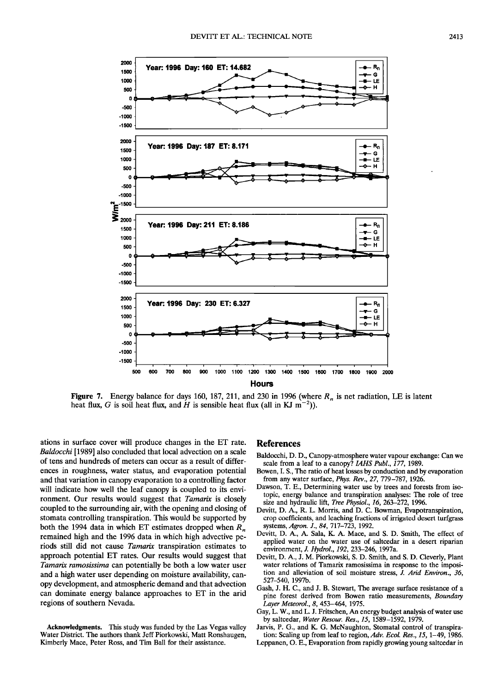

**Figure 7.** Energy balance for days 160, 187, 211, and 230 in 1996 (where  $R_n$  is net radiation, LE is latent heat flux, G is soil heat flux, and H is sensible heat flux (all in KJ  $m^{-2}$ )).

**ations in surface cover will produce changes in the ET rate. Baldocchi [1989] also concluded that local advection on a scale of tens and hundreds of meters can occur as a result of differences in roughness, water status, and evaporation potential and that variation in canopy evaporation to a controlling factor will indicate how well the leaf canopy is coupled to its environment. Our results would suggest that Tamarix is closely coupled to the surrounding air, with the opening and closing of stomata controlling transpiration. This would be supported by**  both the 1994 data in which ET estimates dropped when  $R_n$ **remained high and the 1996 data in which high advective periods still did not cause Tamarix transpiration estimates to**  approach potential ET rates. Our results would suggest that **Tamarix ramosissima can potentially be both a low water user and a high water user depending on moisture availability, canopy development, and atmospheric demand and that advection can dominate energy balance approaches to ET in the arid regions of southern Nevada.** 

**Acknowledgments. This study was funded by the Las Vegas valley Water District. The authors thank Jeff Piorkowski, Matt Ronshaugen, Kimberly Mace, Peter Ross, and Tim Ball for their assistance.** 

#### **References**

- **Baldocchi, D. D., Canopy-atmosphere water vapour exchange: Can we**  scale from a leaf to a canopy? IAHS Publ., 177, 1989.
- **Bowen, I. S., The ratio of heat losses by conduction and by evaporation from any water surface, Phys. Rev., 27, 779-787, 1926.**
- **Dawson, T. E., Determining water use by trees and forests from isotopic, energy balance and transpiration analyses: The role of tree size and hydraulic lift, Tree Physiol., 16, 263-272, 1996.**
- **Devitt, D. A., R. L. Morris, and D.C. Bowman, Evapotranspiration, crop coefficients, and leaching fractions of irrigated desert turfgrass systems, Agron. J., 84, 717-723, 1992.**
- **Devitt, D. A., A. Sala, K. A. Mace, and S. D. Smith, The effect of applied water on the water use of saltcedar in a desert riparian environment, J. Hydrol., 192, 233-246, 1997a.**
- **Devitt, D. A., J. M. Piorkowski, S. D. Smith, and S. D. Cleverly, Plant water relations of Tamarix ramosissima in response to the imposition and alleviation of soil moisture stress, J. Arid Environ., 36, 527-540, 1997b.**
- **Gash, J. H. C., and J. B. Stewart, The average surface resistance of a pine forest derived from Bowen ratio measurements, Boundary Layer Meteorol., 8, 453-464, 1975.**
- **Gay, L. W., and L. J. Fritschen, An energy budget analysis of water use by saltcedar, Water Resour. Res., 15, 1589-1592, 1979.**
- **Jarvis, P. G., and K. G. McNaughton, Stomatal control of transpiration: Scaling up from leaf to region, Adv. Ecol. Res., 15, 1-49, 1986.**
- **Leppanen, O. E., Evaporation from rapidly growing young saltcedar in**